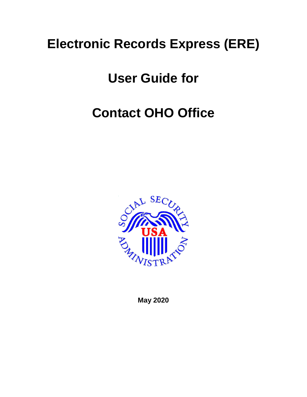# **Electronic Records Express (ERE)**

### **User Guide for**

# **Contact OHO Office**



**May 2020**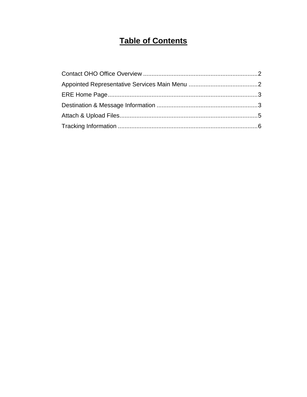### **Table of Contents**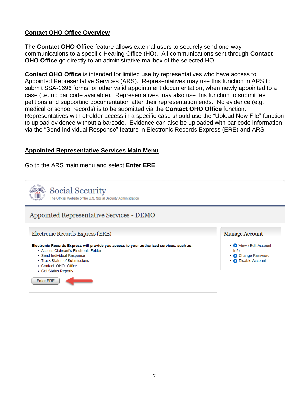#### <span id="page-2-0"></span>**Contact OHO Office Overview**

The **Contact OHO Office** feature allows external users to securely send one-way communications to a specific Hearing Office (HO). All communications sent through **Contact OHO Office** go directly to an administrative mailbox of the selected HO.

**Contact OHO Office** is intended for limited use by representatives who have access to Appointed Representative Services (ARS). Representatives may use this function in ARS to submit SSA-1696 forms, or other valid appointment documentation, when newly appointed to a case (i.e. no bar code available). Representatives may also use this function to submit fee petitions and supporting documentation after their representation ends. No evidence (e.g. medical or school records) is to be submitted via the **Contact OHO Office** function. Representatives with eFolder access in a specific case should use the "Upload New File" function to upload evidence without a barcode. Evidence can also be uploaded with bar code information via the "Send Individual Response" feature in Electronic Records Express (ERE) and ARS.

#### <span id="page-2-1"></span>**Appointed Representative Services Main Menu**

Go to the ARS main menu and select **Enter ERE**.

| <b>Social Security</b><br>The Official Website of the U.S. Social Security Administration                                                                                                                                                                            |                                                                                             |
|----------------------------------------------------------------------------------------------------------------------------------------------------------------------------------------------------------------------------------------------------------------------|---------------------------------------------------------------------------------------------|
| Appointed Representative Services - DEMO                                                                                                                                                                                                                             |                                                                                             |
| Electronic Records Express (ERE)                                                                                                                                                                                                                                     | <b>Manage Account</b>                                                                       |
| Electronic Records Express will provide you access to your authorized services, such as:<br>• Access Claimant's Electronic Folder<br>• Send Individual Response<br>• Track Status of Submissions<br>• Contact OHO Office<br>• Get Status Reports<br><b>Enter ERE</b> | • O View / Edit Account<br>Info<br>• <b>O</b> Change Password<br>• <b>O</b> Disable Account |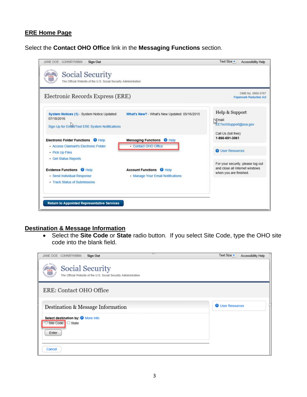#### <span id="page-3-0"></span>**ERE Home Page**

Select the **Contact OHO Office** link in the **Messaging Functions** section.



#### <span id="page-3-1"></span>**Destination & Message Information**

 Select the **Site Code** or **State** radio button. If you select Site Code, type the OHO site code into the blank field.

| ت<br>JANE DOE: G3HNRYN9M4<br><b>Sign Out</b>                                                      | Text Size<br>Accessibility Help |
|---------------------------------------------------------------------------------------------------|---------------------------------|
| $A.$ SE $C$<br>Social Security<br>The Official Website of the U.S. Social Security Administration |                                 |
| ERE: Contact OHO Office                                                                           |                                 |
| Destination & Message Information                                                                 | <b>O</b> User Resources         |
| Select destination by: @ More Info<br>○ Site Code C State<br>Enter                                |                                 |
| Cancel                                                                                            |                                 |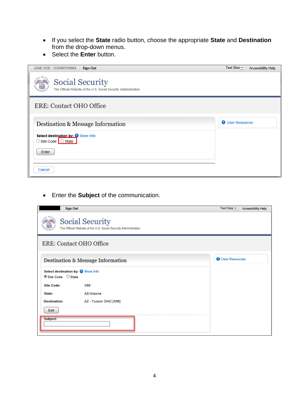- If you select the **State** radio button, choose the appropriate **State** and **Destination** from the drop-down menus.
- Select the **Enter** button.

| JANE DOE: G3HNRYN9M4<br><b>Sign Out</b>                                                   | Text Size $\blacktriangleright$<br>Accessibility Help |
|-------------------------------------------------------------------------------------------|-------------------------------------------------------|
| <b>Social Security</b><br>The Official Website of the U.S. Social Security Administration |                                                       |
| <b>ERE: Contact OHO Office</b>                                                            |                                                       |
| Destination & Message Information                                                         | <b>O</b> User Resources                               |
| Select destination by: @ More Info<br>○ Site Code O State                                 |                                                       |
| Enter                                                                                     |                                                       |
| Cancel                                                                                    |                                                       |

Enter the **Subject** of the communication.

<span id="page-4-0"></span>

| Sign Out                                                  |                                                                                    | Text Size $\bullet$     | Accessibility Help |
|-----------------------------------------------------------|------------------------------------------------------------------------------------|-------------------------|--------------------|
|                                                           | Social Security<br>The Official Website of the U.S. Social Security Administration |                         |                    |
| ERE: Contact OHO Office                                   |                                                                                    |                         |                    |
|                                                           | Destination & Message Information                                                  | <b>O</b> User Resources |                    |
| Select destination by: @ More Info<br>● Site Code ○ State |                                                                                    |                         |                    |
| Site Code:                                                | X66                                                                                |                         |                    |
| State:                                                    | AZ-Arizona                                                                         |                         |                    |
| <b>Destination:</b>                                       | AZ - Tucson OHO [X66]                                                              |                         |                    |
| Edit                                                      |                                                                                    |                         |                    |
| Subject:                                                  |                                                                                    |                         |                    |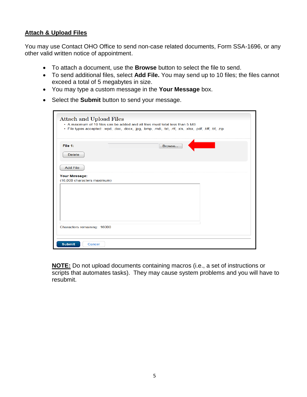### **Attach & Upload Files**

You may use Contact OHO Office to send non-case related documents, Form SSA-1696, or any other valid written notice of appointment.

- To attach a document, use the **Browse** button to select the file to send.
- To send additional files, select **Add File.** You may send up to 10 files; the files cannot exceed a total of 5 megabytes in size.
- You may type a custom message in the **Your Message** box.
- Select the **Submit** button to send your message.

| <b>Attach and Upload Files</b> | • A maximum of 10 files can be added and all files must total less than 5 MB                                 |
|--------------------------------|--------------------------------------------------------------------------------------------------------------|
|                                | · File types accepted: .wpd, .doc, .docx, .jpg, .bmp, .mdi, .txt, .rtf, .xls, .xlsx, .pdf, .tiff, .tif, .zip |
|                                |                                                                                                              |
| File 1:                        | Browse                                                                                                       |
| <b>Delete</b>                  |                                                                                                              |
| <b>Add File</b>                |                                                                                                              |
| Your Message:                  |                                                                                                              |
| (16,000 characters maximum)    |                                                                                                              |
|                                |                                                                                                              |
|                                |                                                                                                              |
|                                |                                                                                                              |
|                                |                                                                                                              |
|                                |                                                                                                              |
|                                |                                                                                                              |
|                                |                                                                                                              |
|                                |                                                                                                              |
|                                |                                                                                                              |
| Characters remaining: 16000    |                                                                                                              |

<span id="page-5-0"></span>**NOTE:** Do not upload documents containing macros (i.e., a set of instructions or scripts that automates tasks). They may cause system problems and you will have to resubmit.